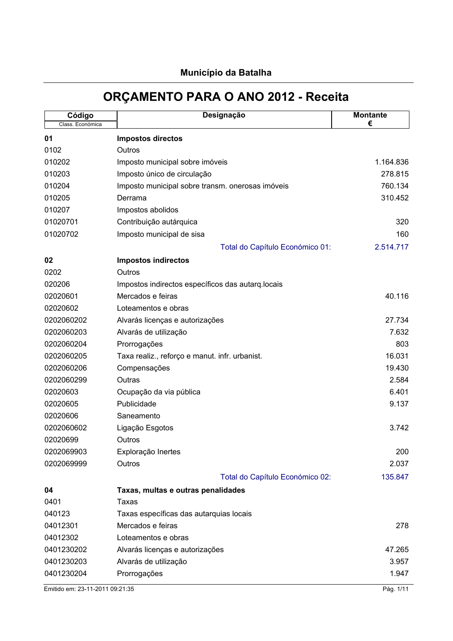| Código<br>Class. Económica | Designação                                        | <b>Montante</b><br>€ |
|----------------------------|---------------------------------------------------|----------------------|
| 01                         | <b>Impostos directos</b>                          |                      |
| 0102                       | Outros                                            |                      |
| 010202                     | Imposto municipal sobre imóveis                   | 1.164.836            |
| 010203                     | Imposto único de circulação                       | 278.815              |
| 010204                     | Imposto municipal sobre transm. onerosas imóveis  | 760.134              |
| 010205                     | Derrama                                           | 310.452              |
| 010207                     | Impostos abolidos                                 |                      |
| 01020701                   | Contribuição autárquica                           | 320                  |
| 01020702                   | Imposto municipal de sisa                         | 160                  |
|                            | Total do Capítulo Económico 01:                   | 2.514.717            |
| 02                         | <b>Impostos indirectos</b>                        |                      |
| 0202                       | Outros                                            |                      |
| 020206                     | Impostos indirectos específicos das autarq locais |                      |
| 02020601                   | Mercados e feiras                                 | 40.116               |
| 02020602                   | Loteamentos e obras                               |                      |
| 0202060202                 | Alvarás licenças e autorizações                   | 27.734               |
| 0202060203                 | Alvarás de utilização                             | 7.632                |
| 0202060204                 | Prorrogações                                      | 803                  |
| 0202060205                 | Taxa realiz., reforço e manut. infr. urbanist.    | 16.031               |
| 0202060206                 | Compensações                                      | 19.430               |
| 0202060299                 | Outras                                            | 2.584                |
| 02020603                   | Ocupação da via pública                           | 6.401                |
| 02020605                   | Publicidade                                       | 9.137                |
| 02020606                   | Saneamento                                        |                      |
| 0202060602                 | Ligação Esgotos                                   | 3.742                |
| 02020699                   | Outros                                            |                      |
| 0202069903                 | Exploração Inertes                                | 200                  |
| 0202069999                 | Outros                                            | 2.037                |
|                            | Total do Capítulo Económico 02:                   | 135.847              |
| 04                         | Taxas, multas e outras penalidades                |                      |
| 0401                       | Taxas                                             |                      |
| 040123                     | Taxas específicas das autarquias locais           |                      |
| 04012301                   | Mercados e feiras                                 | 278                  |
| 04012302                   | Loteamentos e obras                               |                      |
| 0401230202                 | Alvarás licenças e autorizações                   | 47.265               |
| 0401230203                 | Alvarás de utilização                             | 3.957                |
| 0401230204                 | Prorrogações                                      | 1.947                |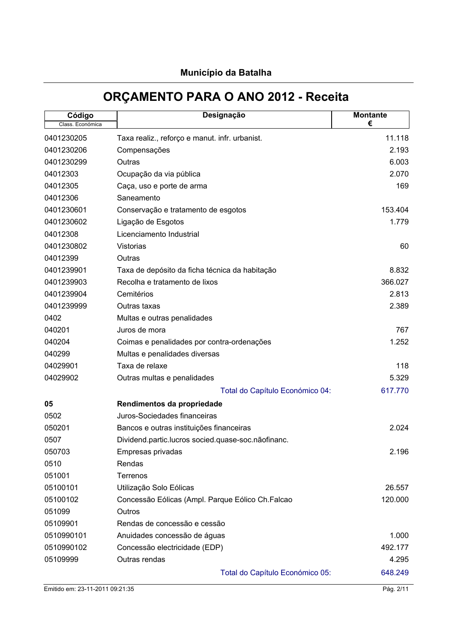| <b>Município da Batalha</b> |  |
|-----------------------------|--|
|-----------------------------|--|

| Código<br>Class. Económica | Designação                                         | <b>Montante</b><br>€ |
|----------------------------|----------------------------------------------------|----------------------|
| 0401230205                 | Taxa realiz., reforço e manut. infr. urbanist.     | 11.118               |
| 0401230206                 | Compensações                                       | 2.193                |
| 0401230299                 | Outras                                             | 6.003                |
| 04012303                   | Ocupação da via pública                            | 2.070                |
| 04012305                   | Caça, uso e porte de arma                          | 169                  |
| 04012306                   | Saneamento                                         |                      |
| 0401230601                 |                                                    | 153.404              |
| 0401230602                 | Conservação e tratamento de esgotos                | 1.779                |
| 04012308                   | Ligação de Esgotos<br>Licenciamento Industrial     |                      |
| 0401230802                 | Vistorias                                          | 60                   |
| 04012399                   | Outras                                             |                      |
| 0401239901                 |                                                    |                      |
|                            | Taxa de depósito da ficha técnica da habitação     | 8.832<br>366.027     |
| 0401239903                 | Recolha e tratamento de lixos                      |                      |
| 0401239904                 | Cemitérios                                         | 2.813                |
| 0401239999                 | Outras taxas                                       | 2.389                |
| 0402                       | Multas e outras penalidades                        |                      |
| 040201                     | Juros de mora                                      | 767                  |
| 040204                     | Coimas e penalidades por contra-ordenações         | 1.252                |
| 040299                     | Multas e penalidades diversas                      |                      |
| 04029901                   | Taxa de relaxe                                     | 118                  |
| 04029902                   | Outras multas e penalidades                        | 5.329                |
|                            | Total do Capítulo Económico 04:                    | 617.770              |
| 05                         | Rendimentos da propriedade                         |                      |
| 0502                       | Juros-Sociedades financeiras                       |                      |
| 050201                     | Bancos e outras instituições financeiras           | 2.024                |
| 0507                       | Dividend.partic.lucros socied.quase-soc.nãofinanc. |                      |
| 050703                     | Empresas privadas                                  | 2.196                |
| 0510                       | Rendas                                             |                      |
| 051001                     | Terrenos                                           |                      |
| 05100101                   | Utilização Solo Eólicas                            | 26.557               |
| 05100102                   | Concessão Eólicas (Ampl. Parque Eólico Ch.Falcao   | 120.000              |
| 051099                     | Outros                                             |                      |
| 05109901                   | Rendas de concessão e cessão                       |                      |
| 0510990101                 | Anuidades concessão de águas                       | 1.000                |
| 0510990102                 | Concessão electricidade (EDP)                      | 492.177              |
| 05109999                   | Outras rendas                                      | 4.295                |
|                            | Total do Capítulo Económico 05:                    | 648.249              |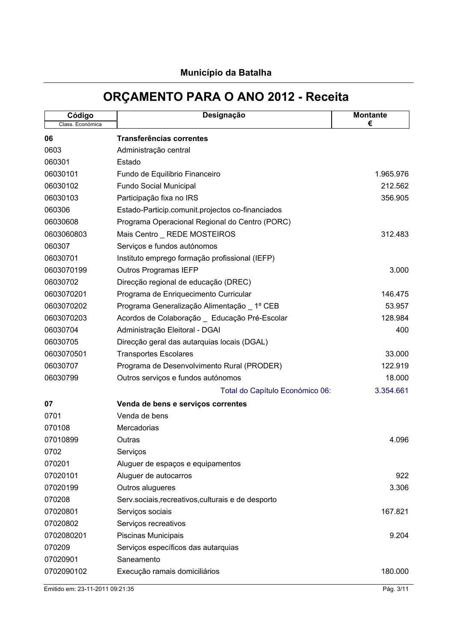| Código<br>Class. Económica | Designação                                         | <b>Montante</b><br>€ |
|----------------------------|----------------------------------------------------|----------------------|
| 06                         | <b>Transferências correntes</b>                    |                      |
| 0603                       | Administração central                              |                      |
| 060301                     | Estado                                             |                      |
| 06030101                   | Fundo de Equilibrio Financeiro                     | 1.965.976            |
| 06030102                   | <b>Fundo Social Municipal</b>                      | 212.562              |
| 06030103                   | Participação fixa no IRS                           | 356.905              |
| 060306                     | Estado-Particip.comunit.projectos co-financiados   |                      |
| 06030608                   | Programa Operacional Regional do Centro (PORC)     |                      |
| 0603060803                 | Mais Centro _ REDE MOSTEIROS                       | 312.483              |
| 060307                     | Serviços e fundos autónomos                        |                      |
| 06030701                   | Instituto emprego formação profissional (IEFP)     |                      |
| 0603070199                 | Outros Programas IEFP                              | 3.000                |
| 06030702                   | Direcção regional de educação (DREC)               |                      |
| 0603070201                 | Programa de Enriquecimento Curricular              | 146.475              |
| 0603070202                 | Programa Generalização Alimentação _ 1º CEB        | 53.957               |
| 0603070203                 | Acordos de Colaboração _ Educação Pré-Escolar      | 128.984              |
| 06030704                   | Administração Eleitoral - DGAI                     | 400                  |
| 06030705                   | Direcção geral das autarquias locais (DGAL)        |                      |
| 0603070501                 | <b>Transportes Escolares</b>                       | 33.000               |
| 06030707                   | Programa de Desenvolvimento Rural (PRODER)         | 122.919              |
| 06030799                   | Outros serviços e fundos autónomos                 | 18.000               |
|                            | Total do Capítulo Económico 06:                    | 3.354.661            |
| 07                         | Venda de bens e serviços correntes                 |                      |
| 0701                       | Venda de bens                                      |                      |
| 070108                     | Mercadorias                                        |                      |
| 07010899                   | Outras                                             | 4.096                |
| 0702                       | Serviços                                           |                      |
| 070201                     | Aluguer de espaços e equipamentos                  |                      |
| 07020101                   | Aluguer de autocarros                              | 922                  |
| 07020199                   | Outros alugueres                                   | 3.306                |
| 070208                     | Serv.sociais, recreativos, culturais e de desporto |                      |
| 07020801                   | Serviços sociais                                   | 167.821              |
| 07020802                   | Serviços recreativos                               |                      |
| 0702080201                 | Piscinas Municipais                                | 9.204                |
| 070209                     | Serviços específicos das autarquias                |                      |
| 07020901                   | Saneamento                                         |                      |
| 0702090102                 | Execução ramais domiciliários                      | 180.000              |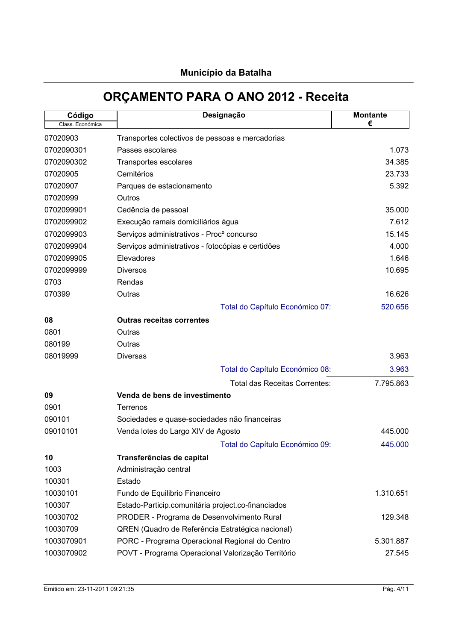| <b>Município da Batalha</b> |  |
|-----------------------------|--|
|-----------------------------|--|

| Código           | Designação                                         | <b>Montante</b><br>€ |
|------------------|----------------------------------------------------|----------------------|
| Class. Económica |                                                    |                      |
| 07020903         | Transportes colectivos de pessoas e mercadorias    |                      |
| 0702090301       | Passes escolares                                   | 1.073                |
| 0702090302       | Transportes escolares                              | 34.385               |
| 07020905         | Cemitérios                                         | 23.733               |
| 07020907         | Parques de estacionamento                          | 5.392                |
| 07020999         | Outros                                             |                      |
| 0702099901       | Cedência de pessoal                                | 35.000               |
| 0702099902       | Execução ramais domiciliários água                 | 7.612                |
| 0702099903       | Serviços administrativos - Procº concurso          | 15.145               |
| 0702099904       | Serviços administrativos - fotocópias e certidões  | 4.000                |
| 0702099905       | Elevadores                                         | 1.646                |
| 0702099999       | <b>Diversos</b>                                    | 10.695               |
| 0703             | Rendas                                             |                      |
| 070399           | Outras                                             | 16.626               |
|                  | Total do Capítulo Económico 07:                    | 520.656              |
| 08               | <b>Outras receitas correntes</b>                   |                      |
| 0801             | Outras                                             |                      |
| 080199           | Outras                                             |                      |
| 08019999         | <b>Diversas</b>                                    | 3.963                |
|                  | Total do Capítulo Económico 08:                    | 3.963                |
|                  | Total das Receitas Correntes:                      | 7.795.863            |
| 09               | Venda de bens de investimento                      |                      |
| 0901             | Terrenos                                           |                      |
| 090101           | Sociedades e quase-sociedades não financeiras      |                      |
| 09010101         | Venda lotes do Largo XIV de Agosto                 | 445.000              |
|                  | Total do Capítulo Económico 09:                    | 445.000              |
| 10               | Transferências de capital                          |                      |
| 1003             | Administração central                              |                      |
| 100301           | Estado                                             |                      |
| 10030101         | Fundo de Equilibrio Financeiro                     | 1.310.651            |
| 100307           | Estado-Particip.comunitária project.co-financiados |                      |
| 10030702         | PRODER - Programa de Desenvolvimento Rural         | 129.348              |
| 10030709         | QREN (Quadro de Referência Estratégica nacional)   |                      |
| 1003070901       | PORC - Programa Operacional Regional do Centro     | 5.301.887            |
| 1003070902       | POVT - Programa Operacional Valorização Território | 27.545               |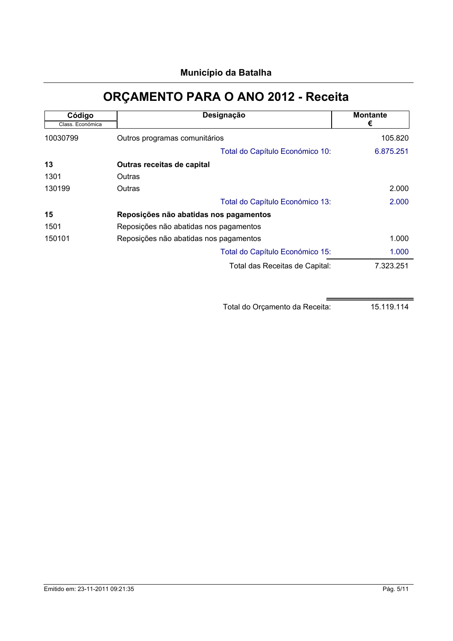| Código           | Designação                             | <b>Montante</b> |
|------------------|----------------------------------------|-----------------|
| Class. Económica |                                        | €               |
| 10030799         | Outros programas comunitários          | 105.820         |
|                  | Total do Capítulo Económico 10:        | 6.875.251       |
| 13               | Outras receitas de capital             |                 |
| 1301             | Outras                                 |                 |
| 130199           | Outras                                 | 2.000           |
|                  | Total do Capítulo Económico 13:        | 2.000           |
| 15               | Reposições não abatidas nos pagamentos |                 |
| 1501             | Reposições não abatidas nos pagamentos |                 |
| 150101           | Reposições não abatidas nos pagamentos | 1.000           |
|                  | Total do Capítulo Económico 15:        | 1.000           |
|                  | Total das Receitas de Capital:         | 7.323.251       |

**ORÇAMENTO PARA O ANO 2012 - Receita** 

Total do Orçamento da Receita: 15.119.114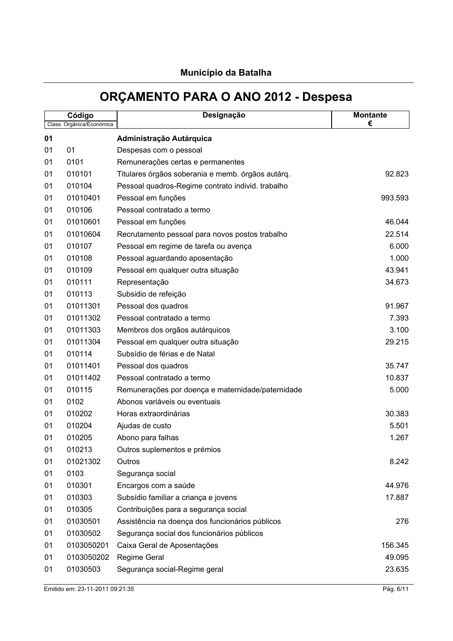|    | Código                    | Designação                                        | <b>Montante</b> |
|----|---------------------------|---------------------------------------------------|-----------------|
|    | Class. Orgânica/Económica |                                                   | €               |
| 01 |                           | Administração Autárquica                          |                 |
| 01 | 01                        | Despesas com o pessoal                            |                 |
| 01 | 0101                      | Remunerações certas e permanentes                 |                 |
| 01 | 010101                    | Titulares órgãos soberania e memb. órgãos autárq. | 92.823          |
| 01 | 010104                    | Pessoal quadros-Regime contrato individ. trabalho |                 |
| 01 | 01010401                  | Pessoal em funções                                | 993.593         |
| 01 | 010106                    | Pessoal contratado a termo                        |                 |
| 01 | 01010601                  | Pessoal em funções                                | 46.044          |
| 01 | 01010604                  | Recrutamento pessoal para novos postos trabalho   | 22.514          |
| 01 | 010107                    | Pessoal em regime de tarefa ou avença             | 6.000           |
| 01 | 010108                    | Pessoal aguardando aposentação                    | 1.000           |
| 01 | 010109                    | Pessoal em qualquer outra situação                | 43.941          |
| 01 | 010111                    | Representação                                     | 34.673          |
| 01 | 010113                    | Subsidio de refeição                              |                 |
| 01 | 01011301                  | Pessoal dos quadros                               | 91.967          |
| 01 | 01011302                  | Pessoal contratado a termo                        | 7.393           |
| 01 | 01011303                  | Membros dos orgãos autárquicos                    | 3.100           |
| 01 | 01011304                  | Pessoal em qualquer outra situação                | 29.215          |
| 01 | 010114                    | Subsídio de férias e de Natal                     |                 |
| 01 | 01011401                  | Pessoal dos quadros                               | 35.747          |
| 01 | 01011402                  | Pessoal contratado a termo                        | 10.837          |
| 01 | 010115                    | Remunerações por doença e maternidade/paternidade | 5.000           |
| 01 | 0102                      | Abonos variáveis ou eventuais                     |                 |
| 01 | 010202                    | Horas extraordinárias                             | 30.383          |
| 01 | 010204                    | Ajudas de custo                                   | 5.501           |
| 01 | 010205                    | Abono para falhas                                 | 1.267           |
| 01 | 010213                    | Outros suplementos e prémios                      |                 |
| 01 | 01021302                  | Outros                                            | 8.242           |
| 01 | 0103                      | Segurança social                                  |                 |
| 01 | 010301                    | Encargos com a saúde                              | 44.976          |
| 01 | 010303                    | Subsídio familiar a criança e jovens              | 17.887          |
| 01 | 010305                    | Contribuições para a segurança social             |                 |
| 01 | 01030501                  | Assistência na doença dos funcionários públicos   | 276             |
| 01 | 01030502                  | Segurança social dos funcionários públicos        |                 |
| 01 | 0103050201                | Caixa Geral de Aposentações                       | 156.345         |
| 01 | 0103050202                | <b>Regime Geral</b>                               | 49.095          |
| 01 | 01030503                  | Segurança social-Regime geral                     | 23.635          |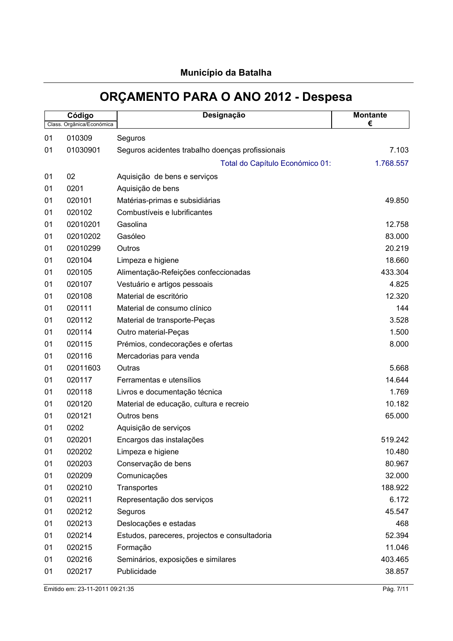|    | Código                    | Designação                                       | <b>Montante</b> |
|----|---------------------------|--------------------------------------------------|-----------------|
|    | Class. Orgânica/Económica |                                                  | €               |
| 01 | 010309                    | Seguros                                          |                 |
| 01 | 01030901                  | Seguros acidentes trabalho doenças profissionais | 7.103           |
|    |                           | Total do Capítulo Económico 01:                  | 1.768.557       |
| 01 | 02                        | Aquisição de bens e serviços                     |                 |
| 01 | 0201                      | Aquisição de bens                                |                 |
| 01 | 020101                    | Matérias-primas e subsidiárias                   | 49.850          |
| 01 | 020102                    | Combustíveis e lubrificantes                     |                 |
| 01 | 02010201                  | Gasolina                                         | 12.758          |
| 01 | 02010202                  | Gasóleo                                          | 83.000          |
| 01 | 02010299                  | Outros                                           | 20.219          |
| 01 | 020104                    | Limpeza e higiene                                | 18.660          |
| 01 | 020105                    | Alimentação-Refeições confeccionadas             | 433.304         |
| 01 | 020107                    | Vestuário e artigos pessoais                     | 4.825           |
| 01 | 020108                    | Material de escritório                           | 12.320          |
| 01 | 020111                    | Material de consumo clínico                      | 144             |
| 01 | 020112                    | Material de transporte-Peças                     | 3.528           |
| 01 | 020114                    | Outro material-Peças                             | 1.500           |
| 01 | 020115                    | Prémios, condecorações e ofertas                 | 8.000           |
| 01 | 020116                    | Mercadorias para venda                           |                 |
| 01 | 02011603                  | Outras                                           | 5.668           |
| 01 | 020117                    | Ferramentas e utensílios                         | 14.644          |
| 01 | 020118                    | Livros e documentação técnica                    | 1.769           |
| 01 | 020120                    | Material de educação, cultura e recreio          | 10.182          |
| 01 | 020121                    | Outros bens                                      | 65.000          |
| 01 | 0202                      | Aquisição de serviços                            |                 |
| 01 | 020201                    | Encargos das instalações                         | 519.242         |
| 01 | 020202                    | Limpeza e higiene                                | 10.480          |
| 01 | 020203                    | Conservação de bens                              | 80.967          |
| 01 | 020209                    | Comunicações                                     | 32.000          |
| 01 | 020210                    | Transportes                                      | 188.922         |
| 01 | 020211                    | Representação dos serviços                       | 6.172           |
| 01 | 020212                    | Seguros                                          | 45.547          |
| 01 | 020213                    | Deslocações e estadas                            | 468             |
| 01 | 020214                    | Estudos, pareceres, projectos e consultadoria    | 52.394          |
| 01 | 020215                    | Formação                                         | 11.046          |
| 01 | 020216                    | Seminários, exposições e similares               | 403.465         |
| 01 | 020217                    | Publicidade                                      | 38.857          |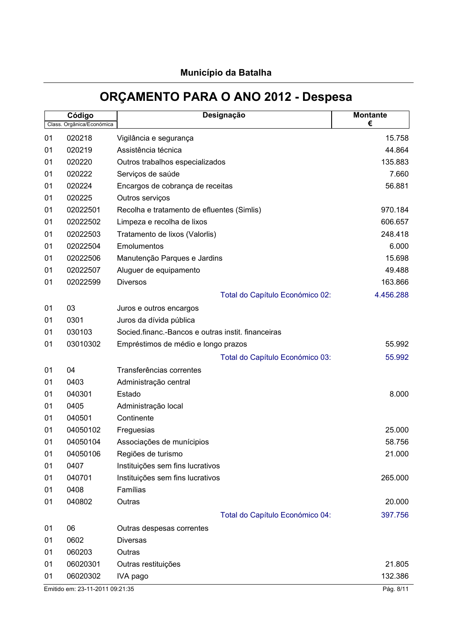|    | Código                          | Designação                                         | <b>Montante</b> |
|----|---------------------------------|----------------------------------------------------|-----------------|
|    | Class. Orgânica/Económica       |                                                    | €               |
| 01 | 020218                          | Vigilância e segurança                             | 15.758          |
| 01 | 020219                          | Assistência técnica                                | 44.864          |
| 01 | 020220                          | Outros trabalhos especializados                    | 135.883         |
| 01 | 020222                          | Serviços de saúde                                  | 7.660           |
| 01 | 020224                          | Encargos de cobrança de receitas                   | 56.881          |
| 01 | 020225                          | Outros serviços                                    |                 |
| 01 | 02022501                        | Recolha e tratamento de efluentes (Simlis)         | 970.184         |
| 01 | 02022502                        | Limpeza e recolha de lixos                         | 606.657         |
| 01 | 02022503                        | Tratamento de lixos (Valorlis)                     | 248.418         |
| 01 | 02022504                        | Emolumentos                                        | 6.000           |
| 01 | 02022506                        | Manutenção Parques e Jardins                       | 15.698          |
| 01 | 02022507                        | Aluguer de equipamento                             | 49.488          |
| 01 | 02022599                        | <b>Diversos</b>                                    | 163.866         |
|    |                                 | Total do Capítulo Económico 02:                    | 4.456.288       |
| 01 | 03                              | Juros e outros encargos                            |                 |
| 01 | 0301                            | Juros da dívida pública                            |                 |
| 01 | 030103                          | Socied financ.-Bancos e outras instit. financeiras |                 |
| 01 | 03010302                        | Empréstimos de médio e longo prazos                | 55.992          |
|    |                                 | Total do Capítulo Económico 03:                    | 55.992          |
| 01 | 04                              | Transferências correntes                           |                 |
| 01 | 0403                            | Administração central                              |                 |
| 01 | 040301                          | Estado                                             | 8.000           |
| 01 | 0405                            | Administração local                                |                 |
| 01 | 040501                          | Continente                                         |                 |
| 01 | 04050102                        | Freguesias                                         | 25.000          |
| 01 | 04050104                        | Associações de munícipios                          | 58.756          |
| 01 | 04050106                        | Regiões de turismo                                 | 21.000          |
| 01 | 0407                            | Instituições sem fins lucrativos                   |                 |
| 01 | 040701                          | Instituições sem fins lucrativos                   | 265.000         |
| 01 | 0408                            | Famílias                                           |                 |
| 01 | 040802                          | Outras                                             | 20.000          |
|    |                                 | Total do Capítulo Económico 04:                    | 397.756         |
| 01 | 06                              | Outras despesas correntes                          |                 |
| 01 | 0602                            | <b>Diversas</b>                                    |                 |
| 01 | 060203                          | Outras                                             |                 |
| 01 | 06020301                        | Outras restituições                                | 21.805          |
| 01 | 06020302                        | IVA pago                                           | 132.386         |
|    | Emitido em: 23-11-2011 09:21:35 |                                                    | Pág. 8/11       |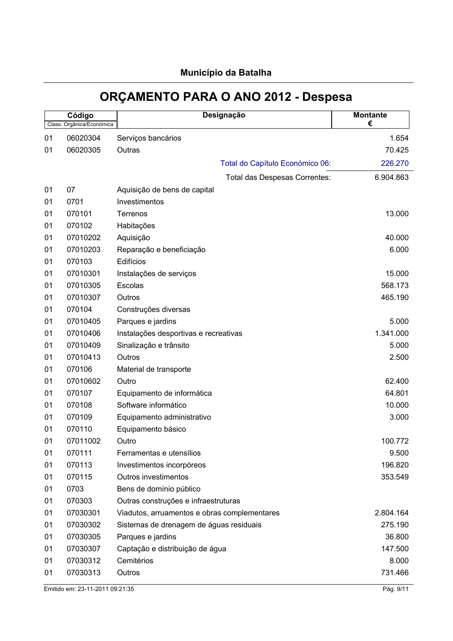|  | <b>Município da Batalha</b> |
|--|-----------------------------|
|--|-----------------------------|

|    | Código<br>Class. Orgânica/Económica | Designação                                   | <b>Montante</b><br>€ |
|----|-------------------------------------|----------------------------------------------|----------------------|
| 01 | 06020304                            | Serviços bancários                           | 1.654                |
| 01 | 06020305                            | Outras                                       | 70.425               |
|    |                                     | Total do Capítulo Económico 06:              | 226.270              |
|    |                                     | Total das Despesas Correntes:                | 6.904.863            |
| 01 | 07                                  | Aquisição de bens de capital                 |                      |
| 01 | 0701                                | Investimentos                                |                      |
| 01 | 070101                              | Terrenos                                     | 13.000               |
| 01 | 070102                              | Habitações                                   |                      |
| 01 | 07010202                            | Aquisição                                    | 40.000               |
| 01 | 07010203                            | Reparação e beneficiação                     | 6.000                |
| 01 | 070103                              | Edifícios                                    |                      |
| 01 | 07010301                            | Instalações de serviços                      | 15.000               |
| 01 | 07010305                            | Escolas                                      | 568.173              |
| 01 | 07010307                            | Outros                                       | 465.190              |
| 01 | 070104                              | Construções diversas                         |                      |
| 01 | 07010405                            | Parques e jardins                            | 5.000                |
| 01 | 07010406                            | Instalações desportivas e recreativas        | 1.341.000            |
| 01 | 07010409                            | Sinalização e trânsito                       | 5.000                |
| 01 | 07010413                            | Outros                                       | 2.500                |
| 01 | 070106                              | Material de transporte                       |                      |
| 01 | 07010602                            | Outro                                        | 62.400               |
| 01 | 070107                              | Equipamento de informática                   | 64.801               |
| 01 | 070108                              | Software informático                         | 10.000               |
| 01 | 070109                              | Equipamento administrativo                   | 3.000                |
| 01 | 070110                              | Equipamento básico                           |                      |
| 01 | 07011002                            | Outro                                        | 100.772              |
| 01 | 070111                              | Ferramentas e utensílios                     | 9.500                |
| 01 | 070113                              | Investimentos incorpóreos                    | 196.820              |
| 01 | 070115                              | Outros investimentos                         | 353.549              |
| 01 | 0703                                | Bens de domínio público                      |                      |
| 01 | 070303                              | Outras construções e infraestruturas         |                      |
| 01 | 07030301                            | Viadutos, arruamentos e obras complementares | 2.804.164            |
| 01 | 07030302                            | Sistemas de drenagem de águas residuais      | 275.190              |
| 01 | 07030305                            | Parques e jardins                            | 36.800               |
| 01 | 07030307                            | Captação e distribuição de água              | 147.500              |
| 01 | 07030312                            | Cemitérios                                   | 8.000                |
| 01 | 07030313                            | Outros                                       | 731.466              |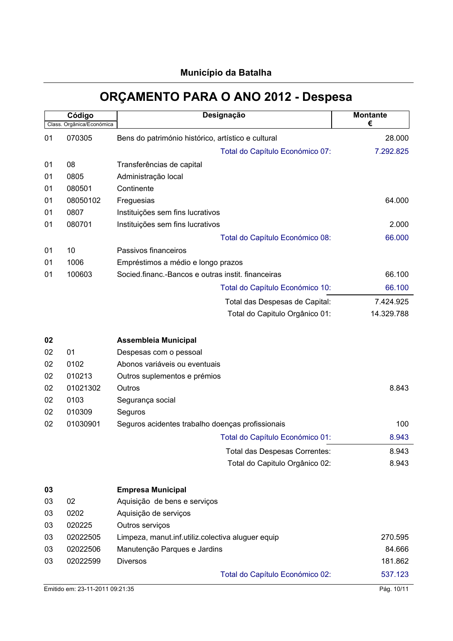|    | Código<br>Class. Orgânica/Económica | Designação                                         | <b>Montante</b><br>€ |
|----|-------------------------------------|----------------------------------------------------|----------------------|
| 01 | 070305                              | Bens do património histórico, artístico e cultural | 28.000               |
|    |                                     | Total do Capítulo Económico 07:                    | 7.292.825            |
| 01 | 08                                  | Transferências de capital                          |                      |
| 01 | 0805                                | Administração local                                |                      |
| 01 | 080501                              | Continente                                         |                      |
| 01 | 08050102                            | Freguesias                                         | 64.000               |
| 01 | 0807                                | Instituições sem fins lucrativos                   |                      |
| 01 | 080701                              | Instituições sem fins lucrativos                   | 2.000                |
|    |                                     | Total do Capítulo Económico 08:                    | 66.000               |
| 01 | 10                                  | Passivos financeiros                               |                      |
| 01 | 1006                                | Empréstimos a médio e longo prazos                 |                      |
| 01 | 100603                              | Socied financ.-Bancos e outras instit. financeiras | 66.100               |
|    |                                     | Total do Capítulo Económico 10:                    | 66.100               |
|    |                                     | Total das Despesas de Capital:                     | 7.424.925            |
|    |                                     | Total do Capitulo Orgânico 01:                     | 14.329.788           |
| 02 |                                     | <b>Assembleia Municipal</b>                        |                      |
| 02 | 01                                  | Despesas com o pessoal                             |                      |
| 02 | 0102                                | Abonos variáveis ou eventuais                      |                      |
| 02 | 010213                              | Outros suplementos e prémios                       |                      |
| 02 | 01021302                            | Outros                                             | 8.843                |
| 02 | 0103                                | Segurança social                                   |                      |
| 02 | 010309                              | Seguros                                            |                      |
| 02 | 01030901                            | Seguros acidentes trabalho doenças profissionais   | 100                  |
|    |                                     | Total do Capítulo Económico 01:                    | 8.943                |
|    |                                     | Total das Despesas Correntes:                      | 8.943                |
|    |                                     | Total do Capitulo Orgânico 02:                     | 8.943                |
| 03 |                                     | <b>Empresa Municipal</b>                           |                      |
| 03 | 02                                  | Aquisição de bens e serviços                       |                      |
| 03 | 0202                                | Aquisição de serviços                              |                      |
| 03 | 020225                              | Outros serviços                                    |                      |
| 03 | 02022505                            | Limpeza, manut.inf.utiliz.colectiva aluguer equip  | 270.595              |
| 03 | 02022506                            | Manutenção Parques e Jardins                       | 84.666               |
| 03 | 02022599                            | <b>Diversos</b>                                    | 181.862              |
|    |                                     | Total do Capítulo Económico 02:                    | 537.123              |